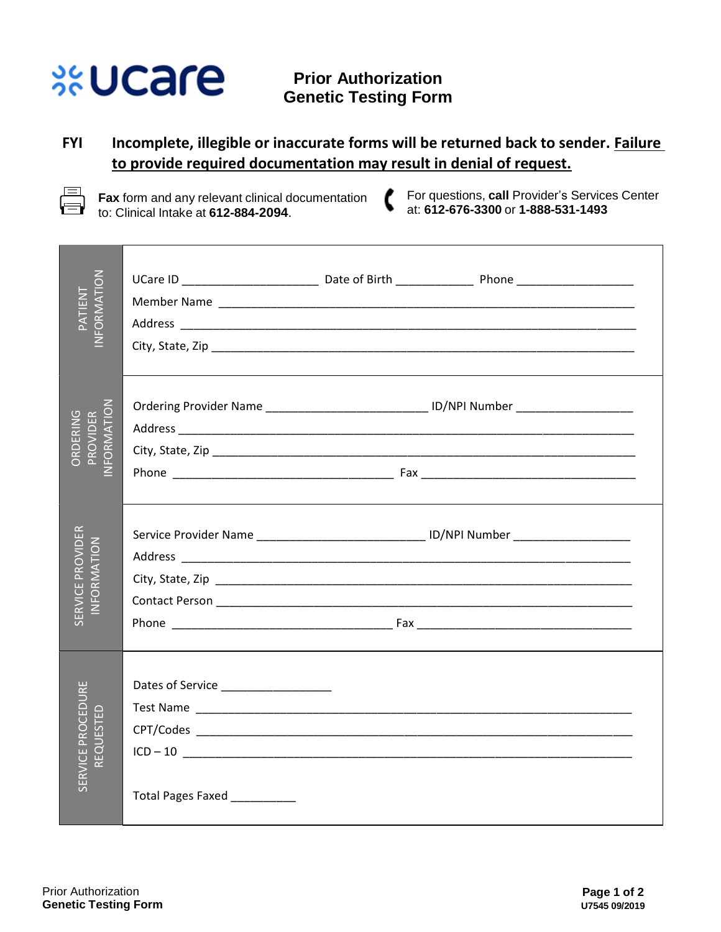## **%Ucare**

## **FYI Incomplete, illegible or inaccurate forms will be returned back to sender. Failure to provide required documentation may result in denial of request.**

l —

**Fax** form and any relevant clinical documentation to: Clinical Intake at **612-884-2094**.

ſ For questions, **call** Provider's Services Center at: **612-676-3300** or **1-888-531-1493**

| NFORMATION<br>TN3ITA <sup>c</sup>         |                                                                                               |  |
|-------------------------------------------|-----------------------------------------------------------------------------------------------|--|
| PROVIDER<br>JFORMATION<br><b>DRDERING</b> | Ordering Provider Name __________________________________ ID/NPI Number _____________________ |  |
| SERVICE PROVIDER<br>NFORMATION            |                                                                                               |  |
| SERVICE PROCEDURE<br>ESTED<br>REQU        | Dates of Service _____________________<br>Total Pages Faxed                                   |  |